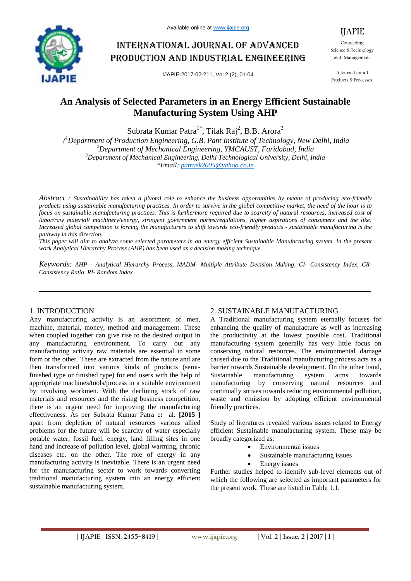

# International journal of advanced production and industrial engineering

IJAPIE-2017-02-211, Vol 2 (2), 01-04

IJAPIE

Connecting Science & Technology with Management.

A Journal for all Products & Processes.

# **An Analysis of Selected Parameters in an Energy Efficient Sustainable Manufacturing System Using AHP**

Subrata Kumar Patra $^{1*}$ , Tilak Raj<sup>2</sup>, B.B. Arora<sup>3</sup>

*( <sup>1</sup>Department of Production Engineering, G.B. Pant Institute of Technology, New Delhi, India <sup>2</sup>Department of Mechanical Engineering, YMCAUST, Faridabad, India <sup>3</sup>Department of Mechanical Engineering, Delhi Technological University, Delhi, India \*Email: patrask2005@yahoo.co.in*

*Abstract : Sustainability has taken a pivotal role to enhance the business opportunities by means of producing eco-friendly products using sustainable manufacturing practices. In order to survive in the global competitive market, the need of the hour is to focus on sustainable manufacturing practices. This is furthermore required due to scarcity of natural resources, increased cost of labor/raw material/ machinery/energy, stringent government norms/regulations, higher aspirations of consumers and the like. Increased global competition is forcing the manufacturers to shift towards eco-friendly products - sustainable manufacturing is the pathway in this direction.* 

*This paper will aim to analyze some selected parameters in an energy efficient Sustainable Manufacturing system. In the present work Analytical Hierarchy Process (AHP) has been used as a decision making technique.*

*Keywords: AHP - Analytical Hierarchy Process, MADM- Multiple Attribute Decision Making, CI- Consistency Index, CR-Consistency Ratio, RI- Random Index*

# 1. INTRODUCTION

Any manufacturing activity is an assortment of men, machine, material, money, method and management. These when coupled together can give rise to the desired output in any manufacturing environment. To carry out any manufacturing activity raw materials are essential in some form or the other. These are extracted from the nature and are then transformed into various kinds of products (semifinished type or finished type) for end users with the help of appropriate machines/tools/process in a suitable environment by involving workmen. With the declining stock of raw materials and resources and the rising business competition, there is an urgent need for improving the manufacturing effectiveness. As per Subrata Kumar Patra et al. **[2015 ]** apart from depletion of natural resources various allied problems for the future will be scarcity of water especially potable water, fossil fuel, energy, land filling sites in one hand and increase of pollution level, global warming, chronic diseases etc. on the other. The role of energy in any manufacturing activity is inevitable. There is an urgent need for the manufacturing sector to work towards converting traditional manufacturing system into an energy efficient sustainable manufacturing system.

# 2. SUSTAINABLE MANUFACTURING

A Traditional manufacturing system eternally focuses for enhancing the quality of manufacture as well as increasing the productivity at the lowest possible cost. Traditional manufacturing system generally has very little focus on conserving natural resources. The environmental damage caused due to the Traditional manufacturing process acts as a barrier towards Sustainable development. On the other hand, Sustainable manufacturing system aims towards manufacturing by conserving natural resources and continually strives towards reducing environmental pollution, waste and emission by adopting efficient environmental friendly practices.

Study of literatures revealed various issues related to Energy efficient Sustainable manufacturing system. These may be broadly categorized as:

- Environmental issues
- Sustainable manufacturing issues
- Energy issues

Further studies helped to identify sub-level elements out of which the following are selected as important parameters for the present work. These are listed in Table 1.1.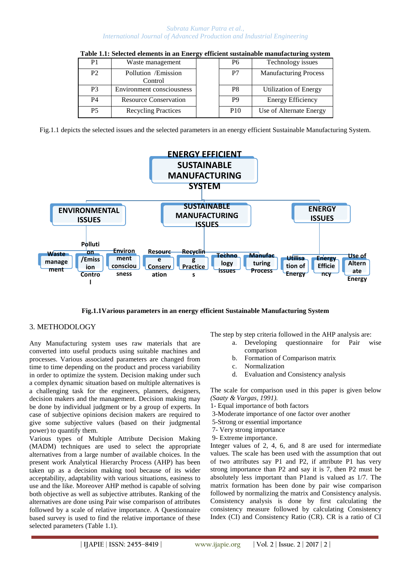#### *Subrata Kumar Patra et al., International Journal of Advanced Production and Industrial Engineering*

|                |                                 | $-$ |                 | ີ                            |
|----------------|---------------------------------|-----|-----------------|------------------------------|
| P <sub>1</sub> | Waste management                |     | P6              | Technology issues            |
| P <sub>2</sub> | Pollution / Emission<br>Control |     | P7              | <b>Manufacturing Process</b> |
| <b>P</b> 3     | Environment consciousness       |     | P <sub>8</sub>  | <b>Utilization of Energy</b> |
| <b>P4</b>      | <b>Resource Conservation</b>    |     | P <sub>9</sub>  | Energy Efficiency            |
| <b>P5</b>      | <b>Recycling Practices</b>      |     | P <sub>10</sub> | Use of Alternate Energy      |

| Table 1.1: Selected elements in an Energy efficient sustainable manufacturing system |  |
|--------------------------------------------------------------------------------------|--|
|                                                                                      |  |
|                                                                                      |  |

Fig.1.1 depicts the selected issues and the selected parameters in an energy efficient Sustainable Manufacturing System.



**Fig.1.1Various parameters in an energy efficient Sustainable Manufacturing System**

# 3. METHODOLOGY

Any Manufacturing system uses raw materials that are converted into useful products using suitable machines and processes. Various associated parameters are changed from time to time depending on the product and process variability in order to optimize the system. Decision making under such a complex dynamic situation based on multiple alternatives is a challenging task for the engineers, planners, designers, decision makers and the management. Decision making may be done by individual judgment or by a group of experts. In case of subjective opinions decision makers are required to give some subjective values (based on their judgmental power) to quantify them.

Various types of Multiple Attribute Decision Making (MADM) techniques are used to select the appropriate alternatives from a large number of available choices. In the present work Analytical Hierarchy Process (AHP) has been taken up as a decision making tool because of its wider acceptability, adaptability with various situations, easiness to use and the like. Moreover AHP method is capable of solving both objective as well as subjective attributes. Ranking of the alternatives are done using Pair wise comparison of attributes followed by a scale of relative importance. A Questionnaire based survey is used to find the relative importance of these selected parameters (Table 1.1).

The step by step criteria followed in the AHP analysis are:

- a. Developing questionnaire for Pair wise comparison
- b. Formation of Comparison matrix
- c. Normalization
- d. Evaluation and Consistency analysis

The scale for comparison used in this paper is given below *(Saaty & Vargas, 1991).*

- 1- Equal importance of both factors
- 3-Moderate importance of one factor over another
- 5-Strong or essential importance
- 7- Very strong importance
- 9- Extreme importance.

Integer values of 2, 4, 6, and 8 are used for intermediate values. The scale has been used with the assumption that out of two attributes say P1 and P2, if attribute P1 has very strong importance than P2 and say it is 7, then P2 must be absolutely less important than P1and is valued as 1/7. The matrix formation has been done by pair wise comparison followed by normalizing the matrix and Consistency analysis. Consistency analysis is done by first calculating the consistency measure followed by calculating Consistency Index (CI) and Consistency Ratio (CR). CR is a ratio of CI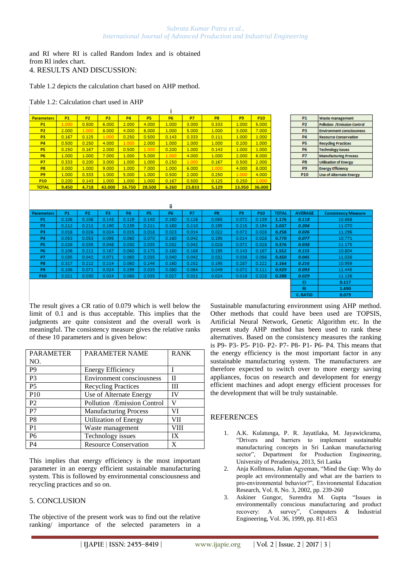and RI where RI is called Random Index and is obtained from RI index chart. 4. RESULTS AND DISCUSSION:

Table 1.2 depicts the calculation chart based on AHP method.

Table 1.2: Calculation chart used in AHP

| <b>Parameters</b> | P <sub>1</sub> | P <sub>2</sub> | P <sub>3</sub> | P <sub>4</sub> | P <sub>5</sub> | P6    | P7     | P8    | P <sub>9</sub> | P <sub>10</sub> |
|-------------------|----------------|----------------|----------------|----------------|----------------|-------|--------|-------|----------------|-----------------|
| <b>P1</b>         | 1.000          | 0.500          | 6.000          | 2.000          | 4.000          | 1.000 | 3.000  | 0.333 | 1.000          | 5.000           |
| P <sub>2</sub>    | 2.000          | 1.000          | 8.000          | 4.000          | 6.000          | 1.000 | 5.000  | 1.000 | 3.000          | 7.000           |
| P <sub>3</sub>    | 0.167          | 0.125          | 1.000          | 0.250          | 0.500          | 0.143 | 0.333  | 0.111 | 1.000          | 1.000           |
| P <sub>4</sub>    | 0.500          | 0.250          | 4.000          | 1.000          | 2.000          | 1.000 | 1.000  | 1.000 | 0.200          | 1.000           |
| <b>P5</b>         | 0.250          | 0.167          | 2.000          | 0.500          | 1.000          | 0.200 | 1.000  | 0.143 | 1.000          | 1.000           |
| P6                | 1.000          | 1.000          | 7.000          | 1.000          | 5.000          | 1.000 | 4.000  | 1.000 | 2.000          | 6.000           |
| P <sub>7</sub>    | 0.333          | 0.200          | 3.000          | 1.000          | 1.000          | 0.250 | 1.000  | 0.167 | 0.500          | 2.000           |
| P <sub>8</sub>    | 3.000          | 1.000          | 9.000          | 1.000          | 7.000          | 1.000 | 6.000  | 1.000 | 4.000          | 8.000           |
| P <sub>9</sub>    | 1.000          | 0.333          | 1.000          | 5.000          | 1.000          | 0.500 | 2.000  | 0.250 | 1.000          | 4.000           |
| P <sub>10</sub>   | 0.200          | 0.143          | 1.000          | 1.000          | 1.000          | 0.167 | 0.500  | 0.125 | 0.250          | 1.000           |
| <b>TOTAL</b>      | 9.450          | 4.718          | 42.000         | 16.750         | 28.500         | 6.260 | 23.833 | 5.129 | 13.950         | 36,000          |
|                   |                |                |                |                |                |       |        |       |                |                 |

| P <sub>1</sub> | <b>Waste management</b>            |
|----------------|------------------------------------|
| P <sub>2</sub> | <b>Pollution /Emission Control</b> |
| P3             | <b>Environment consciousness</b>   |
| P <sub>4</sub> | <b>Resource Conservation</b>       |
| P5             | <b>Recycling Practices</b>         |
| P6             | <b>Technology issues</b>           |
| P7             | <b>Manufacturing Process</b>       |
| P8             | <b>Utilisation of Energy</b>       |
| P <sub>9</sub> | <b>Energy Efficiency</b>           |
| <b>P10</b>     | <b>Use of Alternate Energy</b>     |

| m                 |           |                |       |           |       |           |       |                |                |                 |              |                |                            |
|-------------------|-----------|----------------|-------|-----------|-------|-----------|-------|----------------|----------------|-----------------|--------------|----------------|----------------------------|
| <b>Parameters</b> | <b>P1</b> | P <sub>2</sub> | P3    | <b>P4</b> | P5    | <b>P6</b> | P7    | P <sub>8</sub> | P <sub>9</sub> | P <sub>10</sub> | <b>TOTAL</b> | <b>AVERAGE</b> | <b>Consistency Measure</b> |
| P <sub>1</sub>    | 0.106     | 0.106          | 0.143 | 0.119     | 0.140 | 0.160     | 0.126 | 0.065          | 0.072          | 0.139           | 1.176        | 0.118          | 10.868                     |
| <b>P2</b>         | 0.212     | 0.212          | 0.190 | 0.239     | 0.211 | 0.160     | 0.210 | 0.195          | 0.215          | 0.194           | 2.037        | 0.204          | 11.070                     |
| P <sub>3</sub>    | 0.018     | 0.026          | 0.024 | 0.015     | 0.018 | 0.023     | 0.014 | 0.022          | 0.072          | 0.028           | 0.258        | 0.026          | 11.296                     |
| P <sub>4</sub>    | 0.053     | 0.053          | 0.095 | 0.060     | 0.070 | 0.160     | 0.042 | 0.195          | 0.014          | 0.028           | 0.770        | 0.077          | 10.771                     |
| P <sub>5</sub>    | 0.026     | 0.035          | 0.048 | 0.030     | 0.035 | 0.032     | 0.042 | 0.028          | 0.072          | 0.028           | 0.376        | 0.038          | 11.175                     |
| P6                | 0.106     | 0.212          | 0.167 | 0.060     | 0.175 | 0.160     | 0.168 | 0.195          | 0.143          | 0.167           | 1.552        | 0.155          | 10.804                     |
| P7                | 0.035     | 0.042          | 0.071 | 0.060     | 0.035 | 0.040     | 0.042 | 0.032          | 0.036          | 0.056           | 0.450        | 0.045          | 11.026                     |
| P8                | 0.317     | 0.212          | 0.214 | 0.060     | 0.246 | 0.160     | 0.252 | 0.195          | 0.287          | 0.222           | 2.164        | 0.216          | 10.959                     |
| P <sub>9</sub>    | 0.106     | 0.071          | 0.024 | 0.299     | 0.035 | 0.080     | 0.084 | 0.049          | 0.072          | 0.111           | 0.929        | 0.093          | 11.445                     |
| P <sub>10</sub>   | 0.021     | 0.030          | 0.024 | 0.060     | 0.035 | 0.027     | 0.021 | 0.024          | 0.018          | 0.028           | 0.288        | 0.029          | 11.136                     |
|                   |           |                |       |           |       |           |       |                |                |                 |              | a              | 0.117                      |
|                   |           |                |       |           |       |           |       |                |                |                 |              | RI             | 1.490                      |
|                   |           |                |       |           |       |           |       |                |                |                 |              | C. RATIO       | 0.079                      |

The result gives a CR ratio of 0.079 which is well below the limit of 0.1 and is thus acceptable. This implies that the judgments are quite consistent and the overall work is meaningful. The consistency measure gives the relative ranks of these 10 parameters and is given below:

| <b>PARAMETER</b> | <b>PARAMETER NAME</b>        | <b>RANK</b> |
|------------------|------------------------------|-------------|
| NO.              |                              |             |
| P <sub>9</sub>   | <b>Energy Efficiency</b>     |             |
| P <sub>3</sub>   | Environment consciousness    | П           |
| P <sub>5</sub>   | <b>Recycling Practices</b>   | Ш           |
| <b>P10</b>       | Use of Alternate Energy      | <b>IV</b>   |
| P <sub>2</sub>   | Pollution /Emission Control  | v           |
| P7               | <b>Manufacturing Process</b> | VI          |
| P <sub>8</sub>   | <b>Utilization of Energy</b> | VII         |
| P <sub>1</sub>   | Waste management             | VIII        |
| P <sub>6</sub>   | Technology issues            | IX          |
| P4               | <b>Resource Conservation</b> | X           |

This implies that energy efficiency is the most important parameter in an energy efficient sustainable manufacturing system. This is followed by environmental consciousness and recycling practices and so on.

# 5. CONCLUSION

The objective of the present work was to find out the relative ranking/ importance of the selected parameters in a Sustainable manufacturing environment using AHP method. Other methods that could have been used are TOPSIS, Artificial Neural Network, Genetic Algorithm etc. In the present study AHP method has been used to rank these alternatives. Based on the consistency measures the ranking is P9- P3- P5- P10- P2- P7- P8- P1- P6- P4. This means that the energy efficiency is the most important factor in any sustainable manufacturing system. The manufacturers are therefore expected to switch over to more energy saving appliances, focus on research and development for energy efficient machines and adopt energy efficient processes for the development that will be truly sustainable.

# **REFERENCES**

- 1. A.K. Kulatunga, P. R. Jayatilaka, M. Jayawickrama, "Drivers and barriers to implement sustainable manufacturing concepts in Sri Lankan manufacturing sector", Department for Production Engineering, University of Peradeniya, 2013, Sri Lanka
- 2. Anja Kollmuss, Julian Agyeman, "Mind the Gap: Why do people act environmentally and what are the barriers to pro-environmental behavior?", Environmental Education Research, Vol. 8, No. 3, 2002, pp. 239-260
- 3. Askiner Gungor, Surendra M. Gupta "Issues in environmentally conscious manufacturing and product recovery: A survey", Computers & Industrial Engineering, Vol. 36, 1999, pp. 811-853